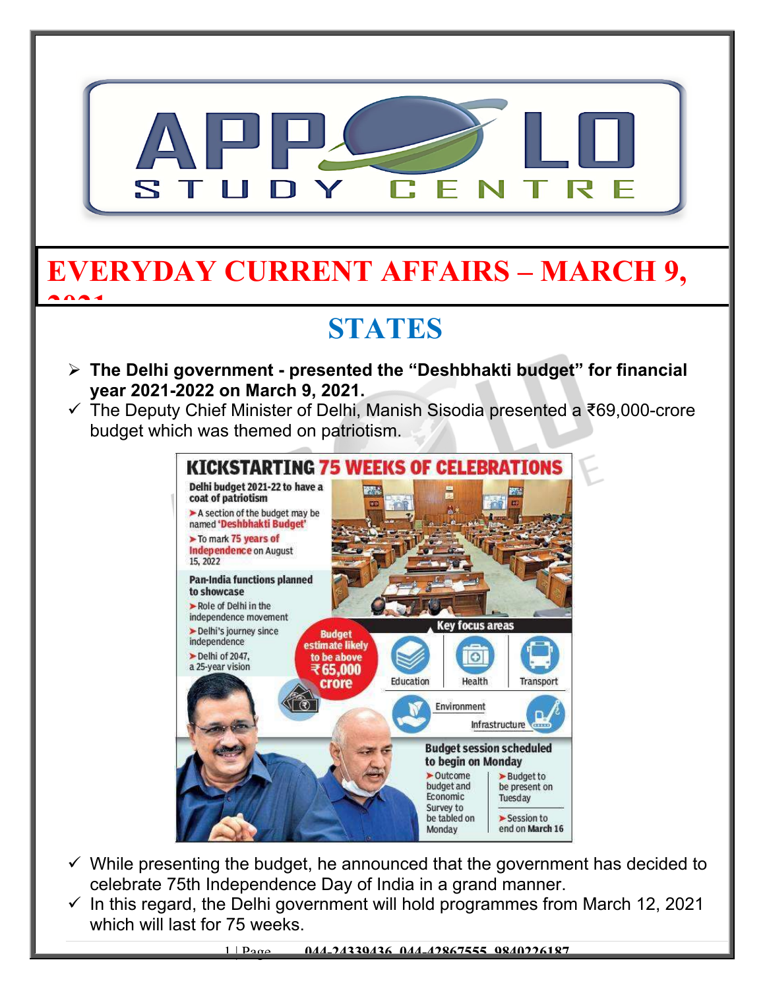

- $\checkmark$  While presenting the budget, he announced that the government has decided to celebrate 75th Independence Day of India in a grand manner.
- $\checkmark$  In this regard, the Delhi government will hold programmes from March 12, 2021 which will last for 75 weeks.

1 | Page **044-24339436, 044-42867555, 9840226187**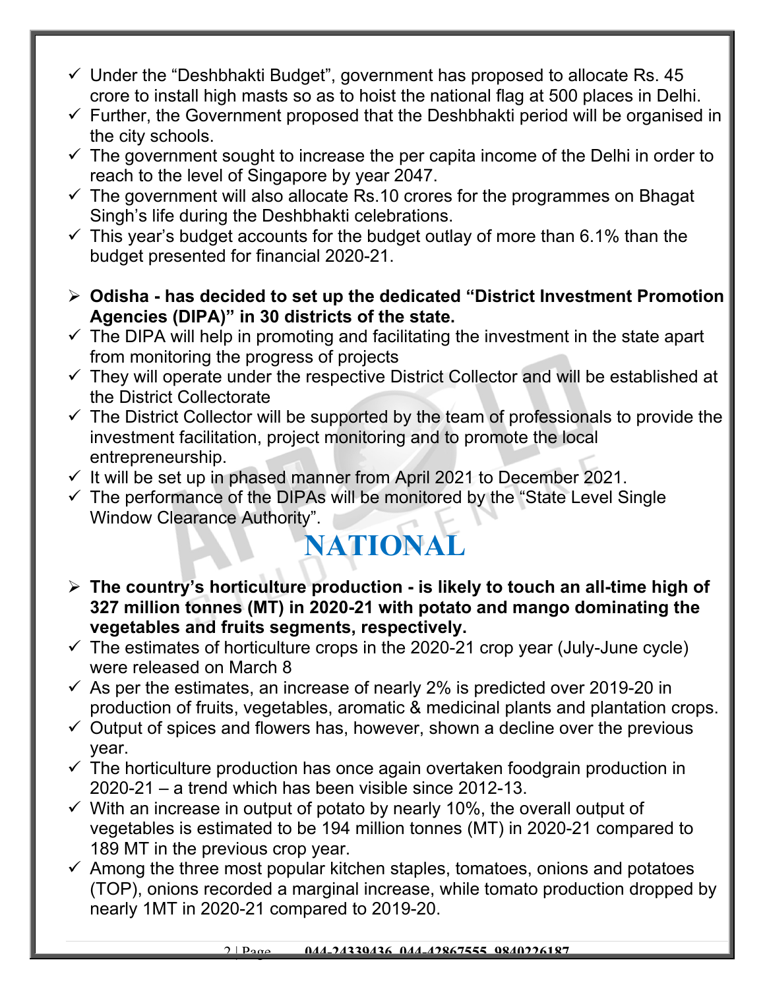- $\checkmark$  Under the "Deshbhakti Budget", government has proposed to allocate Rs. 45 crore to install high masts so as to hoist the national flag at 500 places in Delhi.
- $\checkmark$  Further, the Government proposed that the Deshbhakti period will be organised in the city schools.
- $\checkmark$  The government sought to increase the per capita income of the Delhi in order to reach to the level of Singapore by year 2047.
- $\checkmark$  The government will also allocate Rs.10 crores for the programmes on Bhagat Singh's life during the Deshbhakti celebrations.
- $\checkmark$  This year's budget accounts for the budget outlay of more than 6.1% than the budget presented for financial 2020-21.
- **Odisha has decided to set up the dedicated "District Investment Promotion Agencies (DIPA)" in 30 districts of the state.**
- $\checkmark$  The DIPA will help in promoting and facilitating the investment in the state apart from monitoring the progress of projects
- $\checkmark$  They will operate under the respective District Collector and will be established at the District Collectorate
- $\checkmark$  The District Collector will be supported by the team of professionals to provide the investment facilitation, project monitoring and to promote the local entrepreneurship.
- $\checkmark$  It will be set up in phased manner from April 2021 to December 2021.
- $\checkmark$  The performance of the DIPAs will be monitored by the "State Level Single" Window Clearance Authority".

## **NATIONAL**

- **The country's horticulture production is likely to touch an all-time high of 327 million tonnes (MT) in 2020-21 with potato and mango dominating the vegetables and fruits segments, respectively.**
- $\checkmark$  The estimates of horticulture crops in the 2020-21 crop year (July-June cycle) were released on March 8
- $\checkmark$  As per the estimates, an increase of nearly 2% is predicted over 2019-20 in production of fruits, vegetables, aromatic & medicinal plants and plantation crops.
- $\checkmark$  Output of spices and flowers has, however, shown a decline over the previous year.
- $\checkmark$  The horticulture production has once again overtaken foodgrain production in 2020-21 – a trend which has been visible since 2012-13.
- $\checkmark$  With an increase in output of potato by nearly 10%, the overall output of vegetables is estimated to be 194 million tonnes (MT) in 2020-21 compared to 189 MT in the previous crop year.
- $\checkmark$  Among the three most popular kitchen staples, tomatoes, onions and potatoes (TOP), onions recorded a marginal increase, while tomato production dropped by nearly 1MT in 2020-21 compared to 2019-20.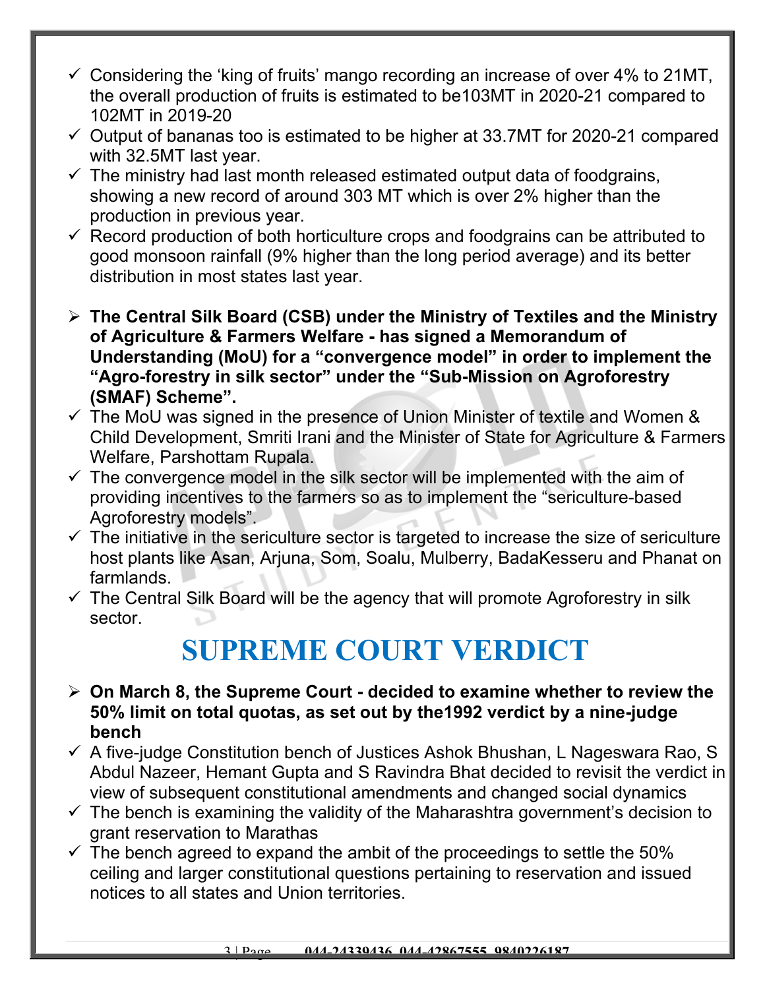- $\checkmark$  Considering the 'king of fruits' mango recording an increase of over 4% to 21MT, the overall production of fruits is estimated to be103MT in 2020-21 compared to 102MT in 2019-20
- $\checkmark$  Output of bananas too is estimated to be higher at 33.7MT for 2020-21 compared with 32.5MT last year.
- $\checkmark$  The ministry had last month released estimated output data of foodgrains, showing a new record of around 303 MT which is over 2% higher than the production in previous year.
- $\checkmark$  Record production of both horticulture crops and foodgrains can be attributed to good monsoon rainfall (9% higher than the long period average) and its better distribution in most states last year.
- **The Central Silk Board (CSB) under the Ministry of Textiles and the Ministry of Agriculture & Farmers Welfare - has signed a Memorandum of Understanding (MoU) for a "convergence model" in order to implement the "Agro-forestry in silk sector" under the "Sub-Mission on Agroforestry (SMAF) Scheme".**
- $\checkmark$  The MoU was signed in the presence of Union Minister of textile and Women & Child Development, Smriti Irani and the Minister of State for Agriculture & Farmers Welfare, Parshottam Rupala.
- $\checkmark$  The convergence model in the silk sector will be implemented with the aim of providing incentives to the farmers so as to implement the "sericulture-based Agroforestry models".
- $\checkmark$  The initiative in the sericulture sector is targeted to increase the size of sericulture host plants like Asan, Arjuna, Som, Soalu, Mulberry, BadaKesseru and Phanat on farmlands.
- $\checkmark$  The Central Silk Board will be the agency that will promote Agroforestry in silk sector.

## **SUPREME COURT VERDICT**

- **On March 8, the Supreme Court decided to examine whether to review the 50% limit on total quotas, as set out by the1992 verdict by a nine-judge bench**
- $\checkmark$  A five-judge Constitution bench of Justices Ashok Bhushan, L Nageswara Rao, S Abdul Nazeer, Hemant Gupta and S Ravindra Bhat decided to revisit the verdict in view of subsequent constitutional amendments and changed social dynamics
- $\checkmark$  The bench is examining the validity of the Maharashtra government's decision to grant reservation to Marathas
- $\checkmark$  The bench agreed to expand the ambit of the proceedings to settle the 50% ceiling and larger constitutional questions pertaining to reservation and issued notices to all states and Union territories.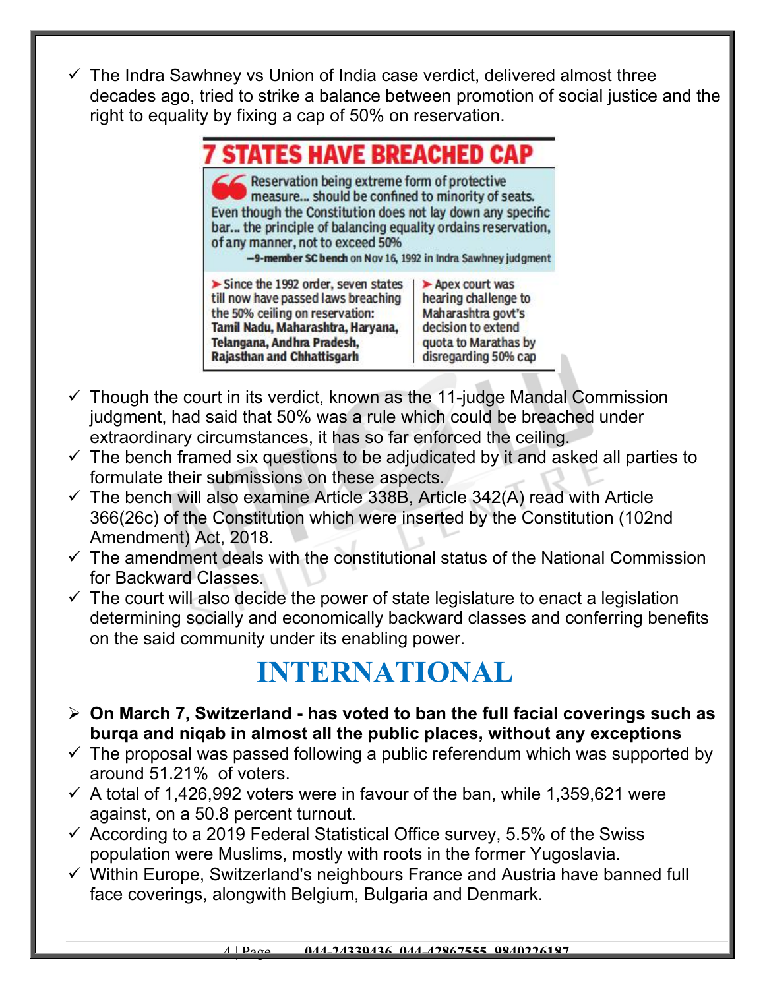$\checkmark$  The Indra Sawhney vs Union of India case verdict, delivered almost three decades ago, tried to strike a balance between promotion of social justice and the right to equality by fixing a cap of 50% on reservation.

| <b>7 STATES HAVE BREACHED CAP</b>                                                                                                                                                                                                                                                                                                   |                                                                                                                                    |
|-------------------------------------------------------------------------------------------------------------------------------------------------------------------------------------------------------------------------------------------------------------------------------------------------------------------------------------|------------------------------------------------------------------------------------------------------------------------------------|
| Reservation being extreme form of protective<br>measure should be confined to minority of seats.<br>Even though the Constitution does not lay down any specific<br>bar the principle of balancing equality ordains reservation,<br>of any manner, not to exceed 50%<br>-9-member SC bench on Nov 16, 1992 in Indra Sawhney judgment |                                                                                                                                    |
| $\triangleright$ Since the 1992 order, seven states<br>till now have passed laws breaching<br>the 50% ceiling on reservation:<br>Tamil Nadu, Maharashtra, Haryana,<br>Telangana, Andhra Pradesh,<br><b>Rajasthan and Chhattisgarh</b>                                                                                               | Apex court was<br>hearing challenge to<br>Maharashtra govt's<br>decision to extend<br>quota to Marathas by<br>disregarding 50% cap |

- $\checkmark$  Though the court in its verdict, known as the 11-judge Mandal Commission judgment, had said that 50% was a rule which could be breached under extraordinary circumstances, it has so far enforced the ceiling.
- $\checkmark$  The bench framed six questions to be adjudicated by it and asked all parties to formulate their submissions on these aspects.
- $\checkmark$  The bench will also examine Article 338B, Article 342(A) read with Article 366(26c) of the Constitution which were inserted by the Constitution (102nd Amendment) Act, 2018.
- $\checkmark$  The amendment deals with the constitutional status of the National Commission for Backward Classes.
- $\checkmark$  The court will also decide the power of state legislature to enact a legislation determining socially and economically backward classes and conferring benefits on the said community under its enabling power.

## **INTERNATIONAL**

- **On March 7, Switzerland has voted to ban the full facial coverings such as burqa and niqab in almost all the public places, without any exceptions**
- $\checkmark$  The proposal was passed following a public referendum which was supported by around 51.21% of voters.
- $\checkmark$  A total of 1,426,992 voters were in favour of the ban, while 1,359,621 were against, on a 50.8 percent turnout.
- $\checkmark$  According to a 2019 Federal Statistical Office survey, 5.5% of the Swiss population were Muslims, mostly with roots in the former Yugoslavia.
- $\checkmark$  Within Europe, Switzerland's neighbours France and Austria have banned full face coverings, alongwith Belgium, Bulgaria and Denmark.